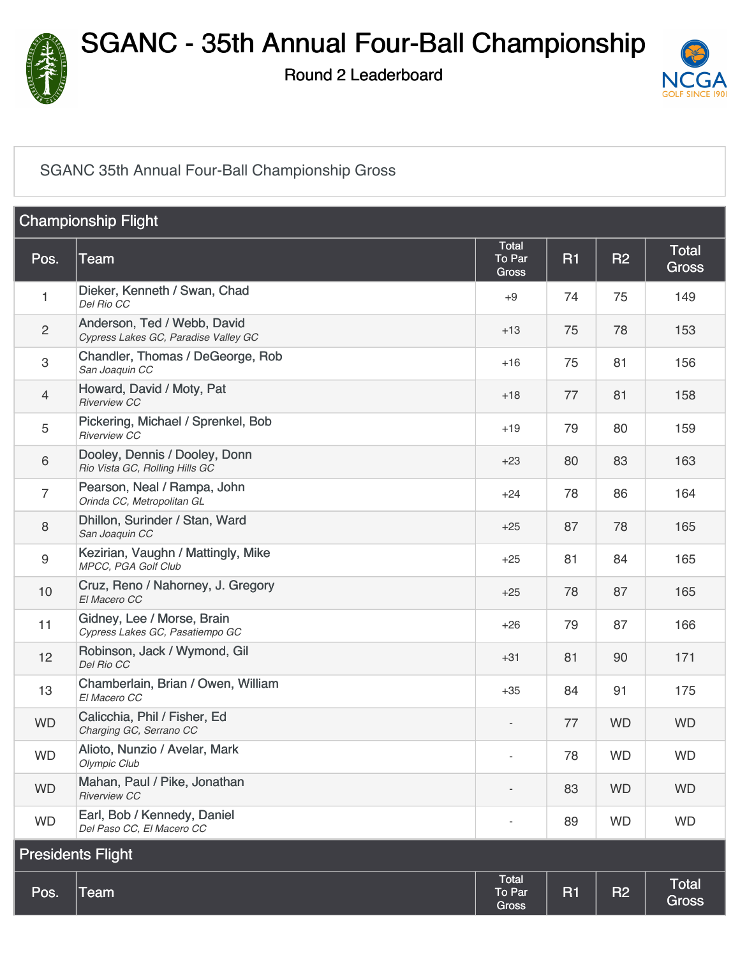

Round 2 Leaderboard



#### [SGANC 35th Annual Four-Ball Championship Gross](https://cdn2.golfgenius.com/v2tournaments/2259669?called_from=&round_index=2)

| <b>Championship Flight</b> |                                                                     |                                 |           |           |                              |  |
|----------------------------|---------------------------------------------------------------------|---------------------------------|-----------|-----------|------------------------------|--|
| Pos.                       | Team                                                                | Total<br>To Par<br><b>Gross</b> | <b>R1</b> | <b>R2</b> | <b>Total</b><br><b>Gross</b> |  |
| 1                          | Dieker, Kenneth / Swan, Chad<br>Del Rio CC                          | $+9$                            | 74        | 75        | 149                          |  |
| $\overline{c}$             | Anderson, Ted / Webb, David<br>Cypress Lakes GC, Paradise Valley GC | $+13$                           | 75        | 78        | 153                          |  |
| 3                          | Chandler, Thomas / DeGeorge, Rob<br>San Joaquin CC                  | $+16$                           | 75        | 81        | 156                          |  |
| 4                          | Howard, David / Moty, Pat<br><b>Riverview CC</b>                    | $+18$                           | 77        | 81        | 158                          |  |
| 5                          | Pickering, Michael / Sprenkel, Bob<br><b>Riverview CC</b>           | $+19$                           | 79        | 80        | 159                          |  |
| 6                          | Dooley, Dennis / Dooley, Donn<br>Rio Vista GC, Rolling Hills GC     | $+23$                           | 80        | 83        | 163                          |  |
| $\overline{7}$             | Pearson, Neal / Rampa, John<br>Orinda CC, Metropolitan GL           | $+24$                           | 78        | 86        | 164                          |  |
| 8                          | Dhillon, Surinder / Stan, Ward<br>San Joaquin CC                    | $+25$                           | 87        | 78        | 165                          |  |
| 9                          | Kezirian, Vaughn / Mattingly, Mike<br>MPCC, PGA Golf Club           | $+25$                           | 81        | 84        | 165                          |  |
| 10                         | Cruz, Reno / Nahorney, J. Gregory<br>El Macero CC                   | $+25$                           | 78        | 87        | 165                          |  |
| 11                         | Gidney, Lee / Morse, Brain<br>Cypress Lakes GC, Pasatiempo GC       | $+26$                           | 79        | 87        | 166                          |  |
| 12                         | Robinson, Jack / Wymond, Gil<br>Del Rio CC                          | $+31$                           | 81        | 90        | 171                          |  |
| 13                         | Chamberlain, Brian / Owen, William<br>El Macero CC                  | $+35$                           | 84        | 91        | 175                          |  |
| <b>WD</b>                  | Calicchia, Phil / Fisher, Ed<br>Charging GC, Serrano CC             |                                 | 77        | <b>WD</b> | <b>WD</b>                    |  |
| <b>WD</b>                  | Alioto, Nunzio / Avelar, Mark<br>Olympic Club                       |                                 | 78        | <b>WD</b> | <b>WD</b>                    |  |
| <b>WD</b>                  | Mahan, Paul / Pike, Jonathan<br><b>Riverview CC</b>                 |                                 | 83        | <b>WD</b> | <b>WD</b>                    |  |
| <b>WD</b>                  | Earl, Bob / Kennedy, Daniel<br>Del Paso CC, El Macero CC            | $\qquad \qquad \blacksquare$    | 89        | <b>WD</b> | <b>WD</b>                    |  |
| <b>Presidents Flight</b>   |                                                                     |                                 |           |           |                              |  |
| Pos.                       | Team                                                                | Total<br>To Par<br><b>Gross</b> | <b>R1</b> | <b>R2</b> | Total<br><b>Gross</b>        |  |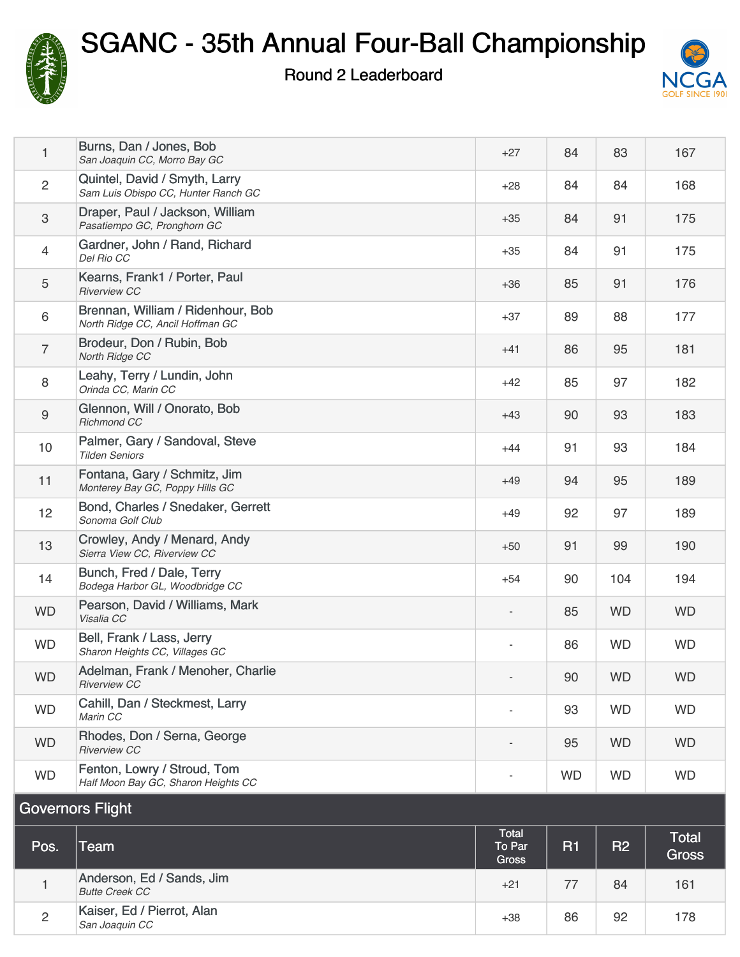

2

[Kaiser, Ed / Pierrot, Alan](https://cdn2.golfgenius.com/tournaments2/details/1014085742)<br>San Joaquin CC

# SGANC - 35th Annual Four-Ball Championship

Round 2 Leaderboard



| 1                       | Burns, Dan / Jones, Bob<br>San Joaquin CC, Morro Bay GC               | $+27$                           | 84        | 83        | 167                   |  |
|-------------------------|-----------------------------------------------------------------------|---------------------------------|-----------|-----------|-----------------------|--|
| $\overline{2}$          | Quintel, David / Smyth, Larry<br>Sam Luis Obispo CC, Hunter Ranch GC  | $+28$                           | 84        | 84        | 168                   |  |
| $\mathfrak{S}$          | Draper, Paul / Jackson, William<br>Pasatiempo GC, Pronghorn GC        | $+35$                           | 84        | 91        | 175                   |  |
| $\overline{4}$          | Gardner, John / Rand, Richard<br>Del Rio CC                           | $+35$                           | 84        | 91        | 175                   |  |
| 5                       | Kearns, Frank1 / Porter, Paul<br><b>Riverview CC</b>                  | $+36$                           | 85        | 91        | 176                   |  |
| $6\,$                   | Brennan, William / Ridenhour, Bob<br>North Ridge CC, Ancil Hoffman GC | $+37$                           | 89        | 88        | 177                   |  |
| $\overline{7}$          | Brodeur, Don / Rubin, Bob<br>North Ridge CC                           | $+41$                           | 86        | 95        | 181                   |  |
| $\,8\,$                 | Leahy, Terry / Lundin, John<br>Orinda CC, Marin CC                    | $+42$                           | 85        | 97        | 182                   |  |
| $\boldsymbol{9}$        | Glennon, Will / Onorato, Bob<br><b>Richmond CC</b>                    | $+43$                           | 90        | 93        | 183                   |  |
| 10                      | Palmer, Gary / Sandoval, Steve<br><b>Tilden Seniors</b>               | $+44$                           | 91        | 93        | 184                   |  |
| 11                      | Fontana, Gary / Schmitz, Jim<br>Monterey Bay GC, Poppy Hills GC       | $+49$                           | 94        | 95        | 189                   |  |
| 12                      | Bond, Charles / Snedaker, Gerrett<br>Sonoma Golf Club                 | $+49$                           | 92        | 97        | 189                   |  |
| 13                      | Crowley, Andy / Menard, Andy<br>Sierra View CC, Riverview CC          | $+50$                           | 91        | 99        | 190                   |  |
| 14                      | Bunch, Fred / Dale, Terry<br>Bodega Harbor GL, Woodbridge CC          | $+54$                           | 90        | 104       | 194                   |  |
| <b>WD</b>               | Pearson, David / Williams, Mark<br>Visalia CC                         | $\overline{\phantom{a}}$        | 85        | <b>WD</b> | <b>WD</b>             |  |
| <b>WD</b>               | Bell, Frank / Lass, Jerry<br>Sharon Heights CC, Villages GC           | $\sim$                          | 86        | <b>WD</b> | <b>WD</b>             |  |
| <b>WD</b>               | Adelman, Frank / Menoher, Charlie<br><b>Riverview CC</b>              |                                 | 90        | <b>WD</b> | <b>WD</b>             |  |
| <b>WD</b>               | Cahill, Dan / Steckmest, Larry<br>Marin CC                            |                                 | 93        | <b>WD</b> | <b>WD</b>             |  |
| <b>WD</b>               | Rhodes, Don / Serna, George<br><b>Riverview CC</b>                    | $\overline{\phantom{a}}$        | 95        | <b>WD</b> | <b>WD</b>             |  |
| <b>WD</b>               | Fenton, Lowry / Stroud, Tom<br>Half Moon Bay GC, Sharon Heights CC    | $\overline{\phantom{a}}$        | <b>WD</b> | <b>WD</b> | <b>WD</b>             |  |
| <b>Governors Flight</b> |                                                                       |                                 |           |           |                       |  |
| Pos.                    | <b>Team</b>                                                           | Total<br>To Par<br><b>Gross</b> | <b>R1</b> | R2        | <b>Total</b><br>Gross |  |
| $\mathbf{1}$            | Anderson, Ed / Sands, Jim<br><b>Butte Creek CC</b>                    | $+21$                           | 77        | 84        | 161                   |  |

**San Joaquin CC** 178<br>San Joaquin CC

+38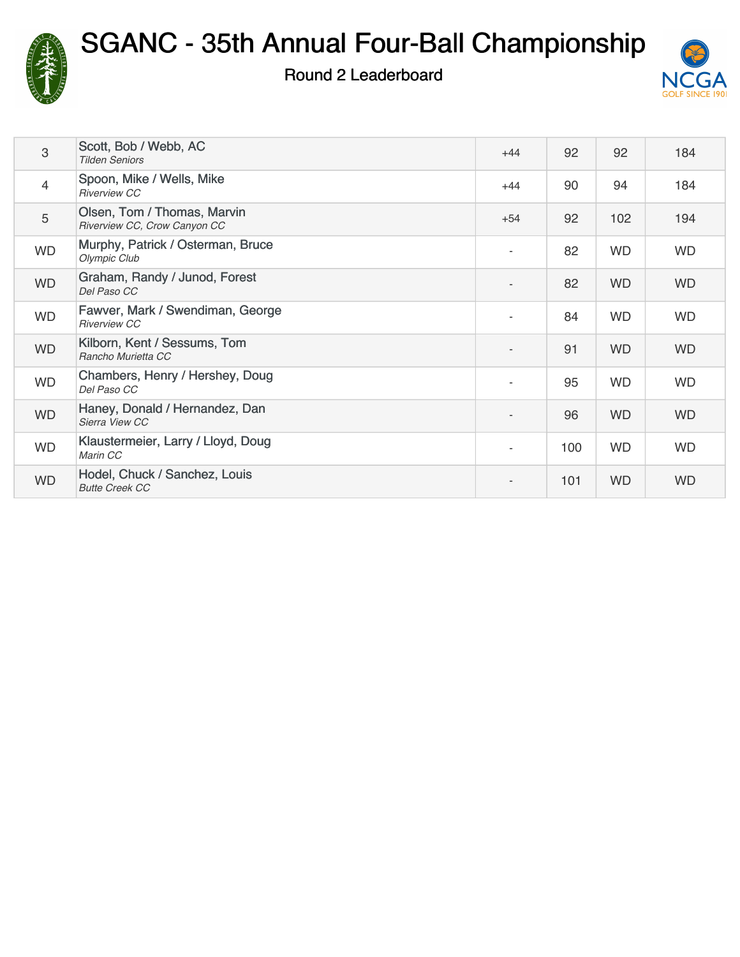

### Round 2 Leaderboard



| 3              | Scott, Bob / Webb, AC<br><b>Tilden Seniors</b>              | $+44$                    | 92  | 92        | 184       |
|----------------|-------------------------------------------------------------|--------------------------|-----|-----------|-----------|
| $\overline{4}$ | Spoon, Mike / Wells, Mike<br><b>Riverview CC</b>            | $+44$                    | 90  | 94        | 184       |
| 5              | Olsen, Tom / Thomas, Marvin<br>Riverview CC, Crow Canyon CC | $+54$                    | 92  | 102       | 194       |
| <b>WD</b>      | Murphy, Patrick / Osterman, Bruce<br>Olympic Club           | $\overline{\phantom{a}}$ | 82  | <b>WD</b> | <b>WD</b> |
| <b>WD</b>      | Graham, Randy / Junod, Forest<br>Del Paso CC                | $\overline{a}$           | 82  | <b>WD</b> | <b>WD</b> |
| <b>WD</b>      | Fawver, Mark / Swendiman, George<br><b>Riverview CC</b>     | $\overline{\phantom{a}}$ | 84  | <b>WD</b> | <b>WD</b> |
| <b>WD</b>      | Kilborn, Kent / Sessums, Tom<br>Rancho Murietta CC          | $\overline{\phantom{a}}$ | 91  | <b>WD</b> | <b>WD</b> |
| <b>WD</b>      | Chambers, Henry / Hershey, Doug<br>Del Paso CC              | $\overline{\phantom{a}}$ | 95  | <b>WD</b> | <b>WD</b> |
| <b>WD</b>      | Haney, Donald / Hernandez, Dan<br>Sierra View CC            | $\qquad \qquad -$        | 96  | <b>WD</b> | <b>WD</b> |
| <b>WD</b>      | Klaustermeier, Larry / Lloyd, Doug<br>Marin CC              | $\sim$                   | 100 | <b>WD</b> | <b>WD</b> |
| <b>WD</b>      | Hodel, Chuck / Sanchez, Louis<br><b>Butte Creek CC</b>      |                          | 101 | <b>WD</b> | <b>WD</b> |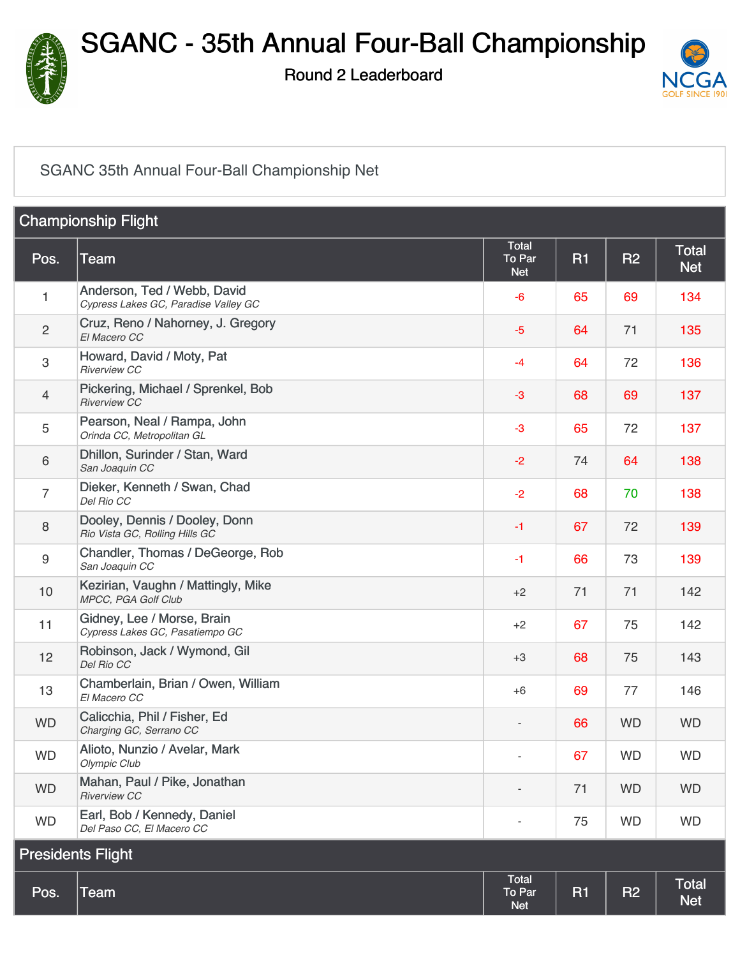

Round 2 Leaderboard



#### [SGANC 35th Annual Four-Ball Championship Net](https://cdn2.golfgenius.com/v2tournaments/2259678?called_from=&round_index=2)

| <b>Championship Flight</b> |                                                                     |                                      |           |           |                            |
|----------------------------|---------------------------------------------------------------------|--------------------------------------|-----------|-----------|----------------------------|
| Pos.                       | Team                                                                | <b>Total</b><br>To Par<br><b>Net</b> | <b>R1</b> | <b>R2</b> | <b>Total</b><br><b>Net</b> |
| 1                          | Anderson, Ted / Webb, David<br>Cypress Lakes GC, Paradise Valley GC | -6                                   | 65        | 69        | 134                        |
| $\overline{c}$             | Cruz, Reno / Nahorney, J. Gregory<br>El Macero CC                   | $-5$                                 | 64        | 71        | 135                        |
| 3                          | Howard, David / Moty, Pat<br><b>Riverview CC</b>                    | -4                                   | 64        | 72        | 136                        |
| 4                          | Pickering, Michael / Sprenkel, Bob<br><b>Riverview CC</b>           | $-3$                                 | 68        | 69        | 137                        |
| 5                          | Pearson, Neal / Rampa, John<br>Orinda CC, Metropolitan GL           | $-3$                                 | 65        | 72        | 137                        |
| 6                          | Dhillon, Surinder / Stan, Ward<br>San Joaquin CC                    | $-2$                                 | 74        | 64        | 138                        |
| 7                          | Dieker, Kenneth / Swan, Chad<br>Del Rio CC                          | $-2$                                 | 68        | 70        | 138                        |
| 8                          | Dooley, Dennis / Dooley, Donn<br>Rio Vista GC, Rolling Hills GC     | $-1$                                 | 67        | 72        | 139                        |
| 9                          | Chandler, Thomas / DeGeorge, Rob<br>San Joaquin CC                  | $-1$                                 | 66        | 73        | 139                        |
| 10                         | Kezirian, Vaughn / Mattingly, Mike<br>MPCC, PGA Golf Club           | $+2$                                 | 71        | 71        | 142                        |
| 11                         | Gidney, Lee / Morse, Brain<br>Cypress Lakes GC, Pasatiempo GC       | $+2$                                 | 67        | 75        | 142                        |
| 12                         | Robinson, Jack / Wymond, Gil<br>Del Rio CC                          | $+3$                                 | 68        | 75        | 143                        |
| 13                         | Chamberlain, Brian / Owen, William<br>El Macero CC                  | $+6$                                 | 69        | 77        | 146                        |
| <b>WD</b>                  | Calicchia, Phil / Fisher, Ed<br>Charging GC, Serrano CC             | $\qquad \qquad \blacksquare$         | 66        | <b>WD</b> | <b>WD</b>                  |
| <b>WD</b>                  | Alioto, Nunzio / Avelar, Mark<br>Olympic Club                       |                                      | 67        | <b>WD</b> | <b>WD</b>                  |
| <b>WD</b>                  | Mahan, Paul / Pike, Jonathan<br><b>Riverview CC</b>                 |                                      | 71        | <b>WD</b> | <b>WD</b>                  |
| <b>WD</b>                  | Earl, Bob / Kennedy, Daniel<br>Del Paso CC, El Macero CC            |                                      | 75        | <b>WD</b> | <b>WD</b>                  |
| <b>Presidents Flight</b>   |                                                                     |                                      |           |           |                            |
| Pos.                       | <b>Team</b>                                                         | <b>Total</b><br>To Par<br><b>Net</b> | <b>R1</b> | <b>R2</b> | <b>Total</b><br><b>Net</b> |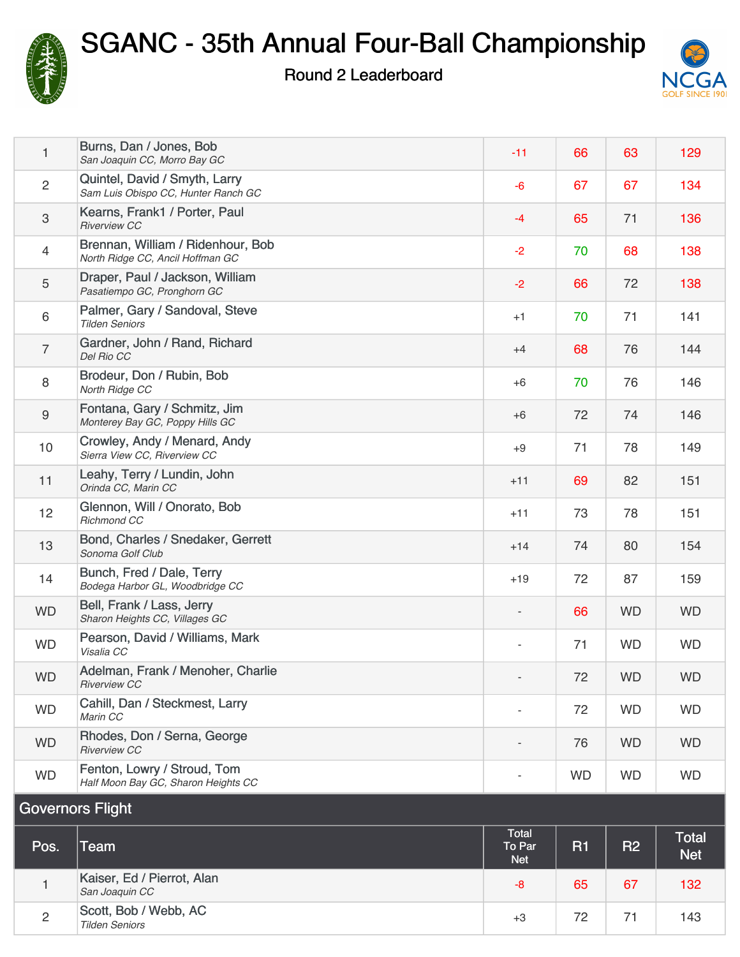

Round 2 Leaderboard



|                  |                                                                       | Total                    |           |           |           |
|------------------|-----------------------------------------------------------------------|--------------------------|-----------|-----------|-----------|
|                  | <b>Governors Flight</b>                                               |                          |           |           |           |
| <b>WD</b>        | Fenton, Lowry / Stroud, Tom<br>Half Moon Bay GC, Sharon Heights CC    |                          | <b>WD</b> | <b>WD</b> | <b>WD</b> |
| <b>WD</b>        | Rhodes, Don / Serna, George<br><b>Riverview CC</b>                    |                          | 76        | <b>WD</b> | <b>WD</b> |
| <b>WD</b>        | Cahill, Dan / Steckmest, Larry<br>Marin CC                            |                          | 72        | <b>WD</b> | <b>WD</b> |
| <b>WD</b>        | Adelman, Frank / Menoher, Charlie<br><b>Riverview CC</b>              |                          | 72        | <b>WD</b> | <b>WD</b> |
| <b>WD</b>        | Pearson, David / Williams, Mark<br>Visalia CC                         | $\overline{\phantom{a}}$ | 71        | <b>WD</b> | <b>WD</b> |
| <b>WD</b>        | Bell, Frank / Lass, Jerry<br>Sharon Heights CC, Villages GC           |                          | 66        | <b>WD</b> | <b>WD</b> |
| 14               | Bunch, Fred / Dale, Terry<br>Bodega Harbor GL, Woodbridge CC          | $+19$                    | 72        | 87        | 159       |
| 13               | Bond, Charles / Snedaker, Gerrett<br>Sonoma Golf Club                 | $+14$                    | 74        | 80        | 154       |
| 12               | Glennon, Will / Onorato, Bob<br>Richmond CC                           | $+11$                    | 73        | 78        | 151       |
| 11               | Leahy, Terry / Lundin, John<br>Orinda CC, Marin CC                    | $+11$                    | 69        | 82        | 151       |
| 10 <sup>1</sup>  | Crowley, Andy / Menard, Andy<br>Sierra View CC, Riverview CC          | $+9$                     | 71        | 78        | 149       |
| $\boldsymbol{9}$ | Fontana, Gary / Schmitz, Jim<br>Monterey Bay GC, Poppy Hills GC       | $+6$                     | 72        | 74        | 146       |
| $\,8\,$          | Brodeur, Don / Rubin, Bob<br>North Ridge CC                           | $+6$                     | 70        | 76        | 146       |
| $\overline{7}$   | Gardner, John / Rand, Richard<br>Del Rio CC                           | $+4$                     | 68        | 76        | 144       |
| 6                | Palmer, Gary / Sandoval, Steve<br><b>Tilden Seniors</b>               | $+1$                     | 70        | 71        | 141       |
| $\sqrt{5}$       | Draper, Paul / Jackson, William<br>Pasatiempo GC, Pronghorn GC        | $-2$                     | 66        | 72        | 138       |
| $\overline{4}$   | Brennan, William / Ridenhour, Bob<br>North Ridge CC, Ancil Hoffman GC | $-2$                     | 70        | 68        | 138       |
| $\sqrt{3}$       | Kearns, Frank1 / Porter, Paul<br><b>Riverview CC</b>                  | $-4$                     | 65        | 71        | 136       |
| $\overline{2}$   | Quintel, David / Smyth, Larry<br>Sam Luis Obispo CC, Hunter Ranch GC  | $-6$                     | 67        | 67        | 134       |
| 1                | Burns, Dan / Jones, Bob<br>San Joaquin CC, Morro Bay GC               | $-11$                    | 66        | 63        | 129       |

| Pos.           | Team                                           | Total<br>To Par<br>Net <sup>1</sup> | R1 | IR <sub>2</sub> | <b>Total</b><br><b>Net</b> |
|----------------|------------------------------------------------|-------------------------------------|----|-----------------|----------------------------|
|                | Kaiser, Ed / Pierrot, Alan<br>San Joaquin CC   | -8                                  | 65 | 67              | 132                        |
| $\overline{2}$ | Scott, Bob / Webb, AC<br><b>Tilden Seniors</b> | $+3$                                | 72 | フュ              | 143                        |